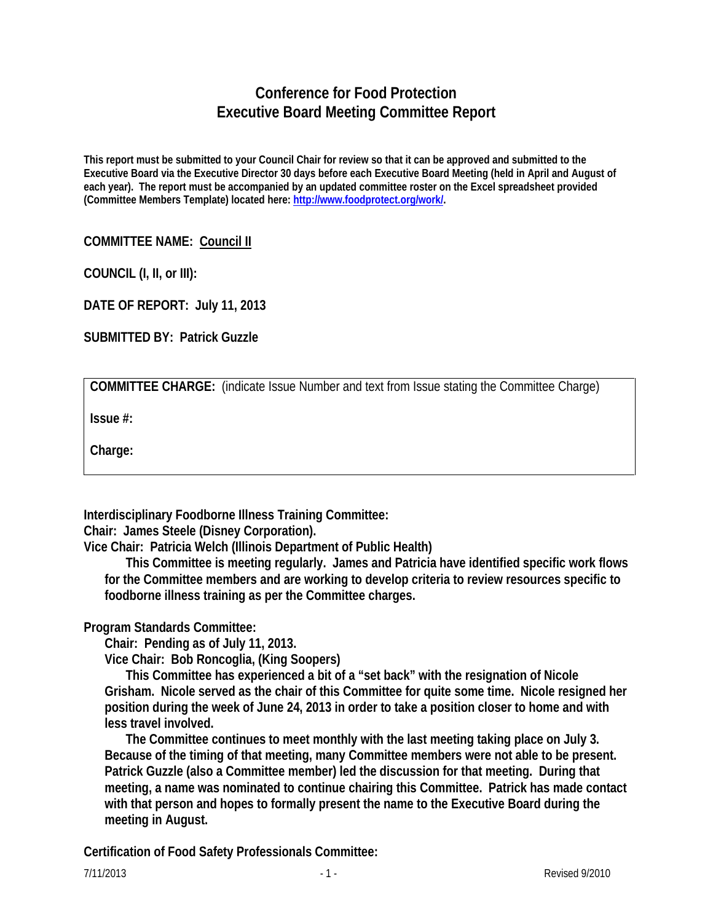## **Conference for Food Protection Executive Board Meeting Committee Report**

**This report must be submitted to your Council Chair for review so that it can be approved and submitted to the Executive Board via the Executive Director 30 days before each Executive Board Meeting (held in April and August of each year). The report must be accompanied by an updated committee roster on the Excel spreadsheet provided (Committee Members Template) located here: [http://www.foodprotect.org/work/.](http://www.foodprotect.org/work/)**

## **COMMITTEE NAME: Council II**

**COUNCIL (I, II, or III):** 

**DATE OF REPORT: July 11, 2013**

**SUBMITTED BY: Patrick Guzzle**

**COMMITTEE CHARGE:** (indicate Issue Number and text from Issue stating the Committee Charge)

**Issue #:** 

**Charge:**

**Interdisciplinary Foodborne Illness Training Committee:**

**Chair: James Steele (Disney Corporation).** 

**Vice Chair: Patricia Welch (Illinois Department of Public Health)** 

**This Committee is meeting regularly. James and Patricia have identified specific work flows for the Committee members and are working to develop criteria to review resources specific to foodborne illness training as per the Committee charges.** 

**Program Standards Committee:**

**Chair: Pending as of July 11, 2013.** 

**Vice Chair: Bob Roncoglia, (King Soopers)** 

**This Committee has experienced a bit of a "set back" with the resignation of Nicole Grisham. Nicole served as the chair of this Committee for quite some time. Nicole resigned her position during the week of June 24, 2013 in order to take a position closer to home and with less travel involved.** 

**The Committee continues to meet monthly with the last meeting taking place on July 3. Because of the timing of that meeting, many Committee members were not able to be present. Patrick Guzzle (also a Committee member) led the discussion for that meeting. During that meeting, a name was nominated to continue chairing this Committee. Patrick has made contact with that person and hopes to formally present the name to the Executive Board during the meeting in August.** 

**Certification of Food Safety Professionals Committee:**